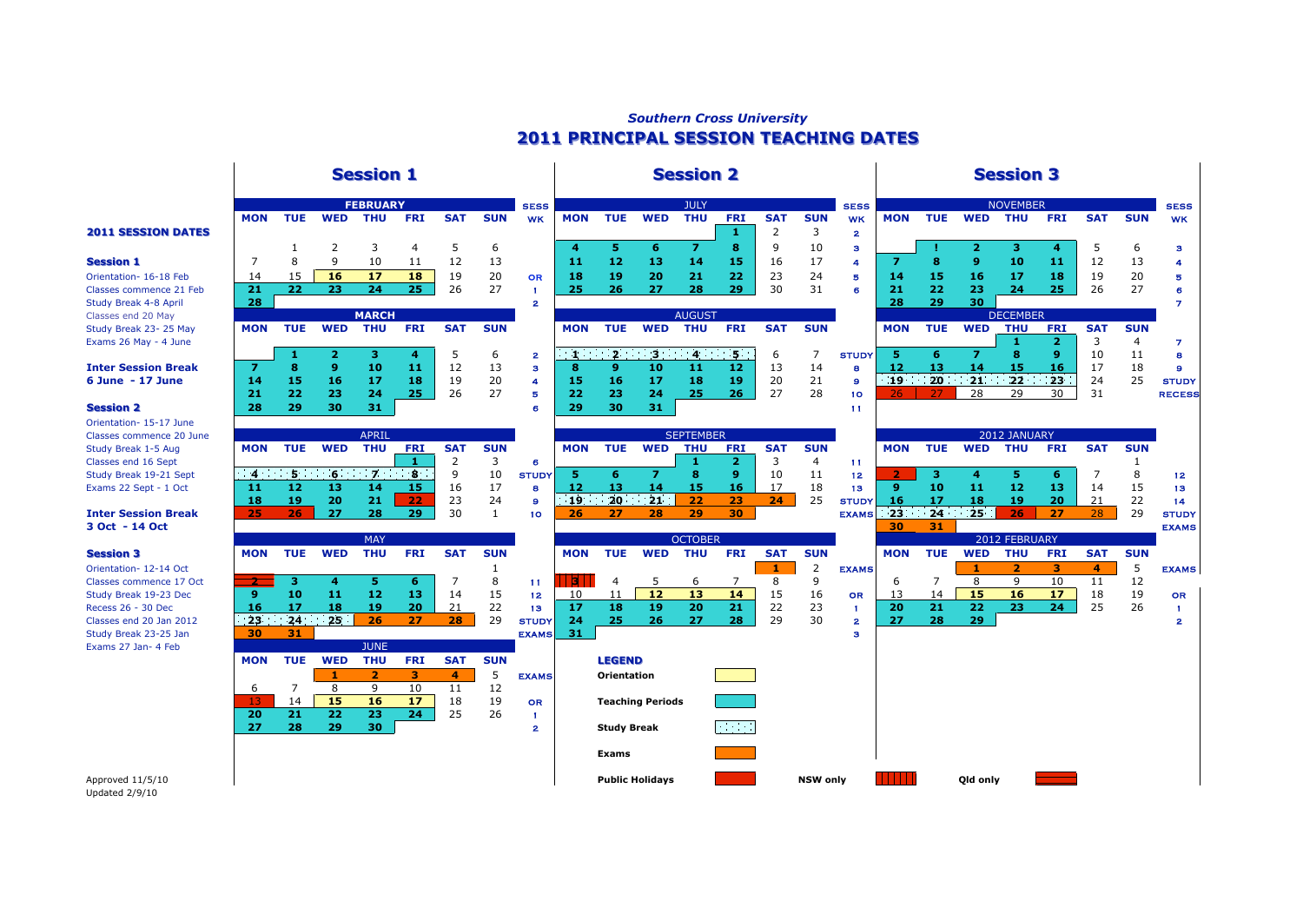## *Southern Cross University* **2011 PRINCIPAL SESSION TEACHING DATES 2011 PRINCIPAL SESSION TEACHING DATES**

### **Session 1 Session 1 Session 2 Session 2 Session 3 Session 3**

Orientation- 15-17 June Classes commence 20 June

|                            | <b>MON</b> | <b>TUE</b> | <b>WED</b> | THU          | <b>FRI</b> | SA <sub>1</sub> | <b>SUN</b> | <b>WK</b> | <b>MON</b>   | TUE | <b>WED</b>     | <b>THU</b>    | <b>FRI</b> | <b>SAT</b> | <b>SUN</b> | <b>WK</b>    | <b>MON</b> | <b>TUE</b> | <b>WED</b>  | THU             | <b>FRI</b>      | <b>SAT</b> | <b>SUN</b> |
|----------------------------|------------|------------|------------|--------------|------------|-----------------|------------|-----------|--------------|-----|----------------|---------------|------------|------------|------------|--------------|------------|------------|-------------|-----------------|-----------------|------------|------------|
| <b>2011 SESSION DATES</b>  |            |            |            |              |            |                 |            |           |              |     |                |               |            |            |            | $\mathbf{2}$ |            |            |             |                 |                 |            |            |
|                            |            |            |            |              |            |                 | 6          |           | $\mathbf{A}$ |     |                |               | . .        | q          | 10         | з            |            |            |             |                 |                 |            | 6          |
| <b>Session 1</b>           |            | 8          | 9          | 10           |            | 12              | 13         |           | 11           | 12  | 13             | 14            | 15         | 16         | 17         | А            |            | 8          | 9.          | 10              | 11              | 12         | 13         |
| Orientation- 16-18 Feb     | 14         |            | 16         | 17           | 18         | 19              | 20         | OR        | 18           | 19  | 20             | 21            | 22         | 23         | 24         | 5            | 14         | 15         | 16          | 17              | 18              | 19         | 20         |
| Classes commence 21 Feb    | 21         | 22         | 23         | 24           | 25         | 26              | 27         |           | 25           | 26  | 27             | 28            | 29         | 30         | 31         | 6            | 21         | 22         | 23          | 24              | 25              | 26         | 27         |
| Study Break 4-8 April      | 28         |            |            |              |            |                 |            |           |              |     |                |               |            |            |            |              | 28         | 29         | 30.         |                 |                 |            |            |
| Classes end 20 May         |            |            |            | <b>MARCH</b> |            |                 |            |           |              |     |                | <b>AUGUST</b> |            |            |            |              |            |            |             | <b>DECEMBER</b> |                 |            |            |
| Study Break 23-25 May      | <b>MON</b> | <b>TUE</b> | <b>WED</b> | <b>THU</b>   | <b>FRI</b> | <b>SAT</b>      | <b>SUN</b> |           | <b>MON</b>   | TUE | <b>WED</b>     | <b>THU</b>    | <b>FRI</b> | <b>SAT</b> | <b>SUN</b> |              | <b>MON</b> | <b>TUE</b> | <b>WED</b>  | <b>THU</b>      | <b>FRI</b>      | <b>SAT</b> | <b>SUN</b> |
| Exams 26 May - 4 June      |            |            |            |              |            |                 |            |           |              |     |                |               |            |            |            |              |            |            |             |                 |                 |            | 4          |
|                            |            |            |            |              |            |                 | 6          | 2         |              |     | 1.12.13.14.15. |               |            | 6          |            | <b>STUDY</b> |            |            |             | я               | ۰Q              | 10         | 11         |
| <b>Inter Session Break</b> |            |            | 9          | 10           | 11         | 12              | 13         |           | 8            |     | 10             |               | 12         | 13         | 14         | 8            | 12         | 13         | 14          | 15              | 16              | 17         | 18         |
| 6 June - 17 June           | 14         | 15         | 16         | 17           | 18         | 19              | 20         |           | 15           | 16  | 17             | 18            | 19         | 20         | 21         | 9            |            |            | 19 20 21 22 |                 | 23 <sup>°</sup> | 24         | 25         |
|                            | 21         | 22         | 23         | 24           | 25.        | 26              | 27         | 唇         | 22           | 23  | 24             | 25            | 26         | 27         | 28         | 10           | 26.        | 27         | 28          | 29              | 30              | 31         |            |
| <b>Session 2</b>           | 28         | 29         | 30         | 31           |            |                 |            |           | 29           | 30  | 31             |               |            |            |            | 11           |            |            |             |                 |                 |            |            |
| Orientation- 15-17 June    |            |            |            |              |            |                 |            |           |              |     |                |               |            |            |            |              |            |            |             |                 |                 |            |            |

| Classes commence 20 June |            |     |            | APRIL |            |            |            |              |           |        |            | <b>SEPIEMBER</b> |            |     |            |              |            |     |             | <b>ZUIZ JANUARY</b> |            |            |           |
|--------------------------|------------|-----|------------|-------|------------|------------|------------|--------------|-----------|--------|------------|------------------|------------|-----|------------|--------------|------------|-----|-------------|---------------------|------------|------------|-----------|
| Study Break 1-5 Aug      | <b>MON</b> | TUE | <b>WED</b> | тни   | <b>FR1</b> | <b>SAT</b> | <b>SUN</b> |              | MON       | TUE    | <b>WED</b> | тни              | <b>FRI</b> | SAT | <b>SUN</b> |              | <b>MON</b> | TUE | <b>WED</b>  | тни                 | <b>FRI</b> | <b>SAT</b> | <b>SU</b> |
| Classes end 16 Sept      |            |     |            |       |            |            |            |              |           |        |            |                  |            |     |            |              |            |     |             |                     |            |            |           |
| Study Break 19-21 Sept   |            |     |            |       | - 0        |            |            | <b>STUDY</b> |           |        |            |                  |            |     |            |              |            |     |             |                     |            |            |           |
| Exams 22 Sept - 1 Oct    |            |     |            |       |            | 1b.        |            |              |           |        |            |                  | 16         |     |            |              |            | 10  |             |                     |            | 14         |           |
|                          | 18         |     |            | 21    |            |            |            |              | <b>10</b> | $20 -$ | 21         |                  | 23         |     |            | <b>STUDY</b> | 16         |     |             | 19                  | 20.        |            |           |
| Inter Session Break      |            |     |            | 28    | 00.        | 30         |            | 10           |           |        |            |                  | 30         |     |            | <b>EXAMS</b> | 23         | 24  | $\sqrt{25}$ | 26                  |            | 28.        |           |

|                         |            |            |                          | <b>PIAT</b> |                 |            |            |                 |            |                    |                         | <b>UCTUDER</b> |            |            |            |              |            |            |            | <b>ZUIZ FEDRUART</b> |            |            |            |
|-------------------------|------------|------------|--------------------------|-------------|-----------------|------------|------------|-----------------|------------|--------------------|-------------------------|----------------|------------|------------|------------|--------------|------------|------------|------------|----------------------|------------|------------|------------|
| <b>Session 3</b>        | <b>MON</b> | <b>TUE</b> | <b>WED</b>               | <b>THU</b>  | <b>FRI</b>      | <b>SAT</b> | <b>SUN</b> |                 | <b>MON</b> | <b>TUE</b>         | <b>WED</b>              | <b>THU</b>     | <b>FRI</b> | <b>SAT</b> | <b>SUN</b> |              | <b>MON</b> | <b>TUE</b> | <b>WED</b> | THU                  | <b>FRI</b> | <b>SAT</b> | <b>SUN</b> |
| Orientation- 12-14 Oct  |            |            |                          |             |                 |            |            |                 |            |                    |                         |                |            |            |            | <b>EXAMS</b> |            |            |            |                      | з          |            | כ          |
| Classes commence 17 Oct |            |            |                          |             |                 |            | 8          | -11             | B.         | 4                  |                         | b              |            | 8          |            |              | b          |            |            |                      | 10         |            | 12         |
| Study Break 19-23 Dec   | 9.         | 10         | 11                       | 12          | 13              | 14         | 15         | 12 <sub>2</sub> | 10         |                    | 12                      | 13             | 14         | 15         | 16         | OR           | 13         | 14         | 15         | 16                   | 17         | 18         | 19         |
| Recess 26 - 30 Dec      | 16         | 17         | 18                       | 19          | 20              | 21         | 22         | 13              | 17         | 18                 | 19                      | 20             | 21         | 22         | 23         |              | 20         | 21         | 22         | 23                   | 24         | 25         | 26         |
| Classes end 20 Jan 2012 |            |            | $23 \qquad 24 \qquad 25$ | 26          | 27              | 28         | 29         | <b>STUDY</b>    | 24         | 25                 | 26.                     | 27             | 28         | 29         | 30         | $\mathbf{2}$ | 27         | 28         | 297        |                      |            |            |            |
| Study Break 23-25 Jan   | 30         | 31         |                          |             |                 |            |            | <b>EXAMS</b>    | -31        |                    |                         |                |            |            |            | з            |            |            |            |                      |            |            |            |
| Exams 27 Jan- 4 Feb     |            |            |                          | <b>JUNE</b> |                 |            |            |                 |            |                    |                         |                |            |            |            |              |            |            |            |                      |            |            |            |
|                         | <b>MON</b> | <b>TUE</b> | <b>WED</b>               | <b>THU</b>  | <b>FRI</b>      | <b>SAT</b> | <b>SUN</b> |                 |            | <b>LEGEND</b>      |                         |                |            |            |            |              |            |            |            |                      |            |            |            |
|                         |            |            |                          |             |                 | 4          |            | <b>EXAMS</b>    |            | Orientation        |                         |                |            |            |            |              |            |            |            |                      |            |            |            |
|                         | 6          |            |                          |             | 10              | 11         | 12         |                 |            |                    |                         |                |            |            |            |              |            |            |            |                      |            |            |            |
|                         | 13.        | 14         | 15                       | 16          | 17              | 18         | 19         | <b>OR</b>       |            |                    | <b>Teaching Periods</b> |                |            |            |            |              |            |            |            |                      |            |            |            |
|                         | 20         | 21         | 22                       | 23          | 24 <sup>°</sup> | 25         | 26         |                 |            |                    |                         |                |            |            |            |              |            |            |            |                      |            |            |            |
|                         | 27         | 28         | 29                       | 30          |                 |            |            | 2               |            | <b>Study Break</b> |                         |                | $\sim 100$ |            |            |              |            |            |            |                      |            |            |            |
|                         |            |            |                          |             |                 |            |            |                 |            |                    |                         |                |            |            |            |              |            |            |            |                      |            |            |            |
|                         |            |            |                          |             |                 |            |            |                 |            | Exams              |                         |                |            |            |            |              |            |            |            |                      |            |            |            |

| <b>FEBRUARY</b> |            |            |            | <b>SESS</b>    |              |            |                 | <b>JULY</b>      |            |            |            | <b>SESS</b>  |            |            |                | <b>NOVEMBER</b> |  |
|-----------------|------------|------------|------------|----------------|--------------|------------|-----------------|------------------|------------|------------|------------|--------------|------------|------------|----------------|-----------------|--|
| THU             | <b>FRI</b> | <b>SAT</b> | <b>SUN</b> | <b>WK</b>      | <b>MON</b>   | TUE        | <b>WED</b>      | <b>THU</b>       | <b>FRI</b> | <b>SAT</b> | <b>SUN</b> | <b>WK</b>    | <b>MON</b> | <b>TUE</b> | <b>WED</b>     | THU             |  |
|                 |            |            |            |                |              |            |                 |                  |            | 2          | 3          | $\mathbf{z}$ |            |            |                |                 |  |
| 3               | 4          | 5          | 6          |                | 4            | 5          | 6               | 7                | 8          | 9          | 10         | з            |            |            | $\overline{2}$ | з               |  |
| 10              | 11         | 12         | 13         |                | 11           | 12         | 13              | 14               | 15         | 16         | 17         | 4            | 7          | 8          | 9              | 10              |  |
| 17              | 18         | 19         | 20         | OR             | 18           | 19         | 20              | 21               | 22         | 23         | 24         | s            | 14         | 15         | 16             | 17              |  |
| 24              | 25         | 26         | 27         |                | 25           | 26         | 27              | 28               | 29         | 30         | 31         | 6            | 21         | 22         | 23             | 24              |  |
|                 |            |            |            | 2              |              |            |                 |                  |            |            |            |              | 28         | 29         | 30             |                 |  |
| <b>MARCH</b>    |            |            |            |                |              |            |                 | <b>AUGUST</b>    |            |            |            |              |            |            |                | <b>DECEMBER</b> |  |
| THU             | <b>FRI</b> | <b>SAT</b> | <b>SUN</b> |                | <b>MON</b>   | <b>TUE</b> | <b>WED</b>      | <b>THU</b>       | <b>FRI</b> | <b>SAT</b> | <b>SUN</b> |              | <b>MON</b> | <b>TUE</b> | <b>WED</b>     | THU             |  |
|                 |            |            |            |                |              |            |                 |                  |            |            |            |              |            |            |                |                 |  |
| з               | 4          | 5          | 6          | $\overline{2}$ | $\mathbf{1}$ |            | $2 \t3 \t4 \t5$ |                  |            | 6          | 7          | <b>STUDY</b> | 5          | 6          | 7              | 8               |  |
| 10              | 11         | 12         | 13         | з              | 8            | 9          | 10              | 11               | 12         | 13         | 14         | 8            | 12         | 13         | 14             | 15              |  |
| 17              | 18         | 19         | 20         | 4              | 15           | 16         | 17              | 18               | 19         | 20         | 21         | 9            |            | 19 20      | 21             | 22              |  |
| 24              | 25         | 26         | 27         | Б              | 22           | 23         | 24              | 25               | 26         | 27         | 28         | 10           | 26         |            | 28             | 29              |  |
| 31              |            |            |            | 6              | 29           | 30         | 31              |                  |            |            |            | 11           |            |            |                |                 |  |
|                 |            |            |            |                |              |            |                 |                  |            |            |            |              |            |            |                |                 |  |
| <b>APRIL</b>    |            |            |            |                |              |            |                 | <b>SEPTEMBER</b> |            |            |            |              |            |            |                | 2012 JANUAF     |  |

|    |            |            |            | <b>SEPIEMBER</b> |            |            |           |
|----|------------|------------|------------|------------------|------------|------------|-----------|
|    | <b>MON</b> | <b>TUE</b> | <b>WED</b> | THU              | <b>FRI</b> | <b>SAT</b> | <b>SU</b> |
|    |            |            |            |                  |            |            | 4         |
| ۱Y |            |            |            | я                |            | 10         | 11        |
|    | 12         | 13         | 14         | 15               | 16         | 17         | 18        |
|    |            |            | 19 20 21   | 22               | 23         | 24         | 25        |
|    | 26         | 27         | 28         | つの               | 30         |            |           |
|    |            |            |            |                  |            |            |           |

|                         |            |            |                | <b>MAY</b>  |            |                |            |              |            |                    |                         | <b>OCTOBER</b> |             |            |                 |              |            |            | 2012            |
|-------------------------|------------|------------|----------------|-------------|------------|----------------|------------|--------------|------------|--------------------|-------------------------|----------------|-------------|------------|-----------------|--------------|------------|------------|-----------------|
| <b>Session 3</b>        | <b>MON</b> | <b>TUE</b> | <b>WED</b>     | <b>THU</b>  | <b>FRI</b> | <b>SAT</b>     | <b>SUN</b> |              | <b>MON</b> | <b>TUE</b>         | <b>WED</b>              | <b>THU</b>     | <b>FRI</b>  | <b>SAT</b> | <b>SUN</b>      |              | <b>MON</b> | <b>TUE</b> | <b>WED</b>      |
| Orientation- 12-14 Oct  |            |            |                |             |            |                |            |              |            |                    |                         |                |             |            |                 | <b>EXAMS</b> |            |            |                 |
| Classes commence 17 Oct |            |            |                | 5           | 6          |                |            | 11           |            | 4                  | 5                       | 6              |             | 8          | 9               |              | 6          |            | 8               |
| Study Break 19-23 Dec   | 9          | 10         | 11             | 12          | 13         | 14             | 15         | 12           | 10         | 11                 | 12                      | 13             | 14          | 15         | 16              | <b>OR</b>    | 13         | 14         | 15              |
| Recess 26 - 30 Dec      | 16         | 17         | 18             | 19          | 20         | 21             | 22         | 13           | 17         | 18                 | 19                      | 20             | 21          | 22         | 23              |              | 20         | 21         | 22              |
| Classes end 20 Jan 2012 |            |            | $23 \t24 \t25$ | 26          | 27         | 28             | 29         | <b>STUDY</b> | 24         | 25                 | 26.                     | 27             | 28          | 29         | 30              | 2            | 27         | 28         | 29 <sub>1</sub> |
| Study Break 23-25 Jan   | 30         | 31         |                |             |            |                |            | <b>EXAMS</b> | 31         |                    |                         |                |             |            |                 | я            |            |            |                 |
| Exams 27 Jan- 4 Feb     |            |            |                | <b>JUNE</b> |            |                |            |              |            |                    |                         |                |             |            |                 |              |            |            |                 |
|                         | <b>MON</b> | <b>TUE</b> | <b>WED</b>     | <b>THU</b>  | <b>FRI</b> | <b>SAT</b>     | <b>SUN</b> |              |            | <b>LEGEND</b>      |                         |                |             |            |                 |              |            |            |                 |
|                         |            |            |                |             | з.         | $\overline{4}$ | 5          | <b>EXAMS</b> |            | Orientation        |                         |                |             |            |                 |              |            |            |                 |
|                         | 6          |            | 8              | q           | 10         | 11             | 12         |              |            |                    |                         |                |             |            |                 |              |            |            |                 |
|                         | \13'       | 14         | 15             | 16          | 17         | 18             | 19         | OR           |            |                    | <b>Teaching Periods</b> |                |             |            |                 |              |            |            |                 |
|                         | 20         | 21         | 22             | 23          | 24         | 25             | 26         |              |            |                    |                         |                |             |            |                 |              |            |            |                 |
|                         | 27         | 28         | 29             | 30          |            |                |            | 2            |            | <b>Study Break</b> |                         |                | <b>Tara</b> |            |                 |              |            |            |                 |
|                         |            |            |                |             |            |                |            |              |            |                    |                         |                |             |            |                 |              |            |            |                 |
|                         |            |            |                |             |            |                |            |              |            | <b>Exams</b>       |                         |                |             |            |                 |              |            |            |                 |
| Approved 11/5/10        |            |            |                |             |            |                |            |              |            |                    | <b>Public Holidays</b>  |                |             |            | <b>NSW only</b> |              |            |            | Old only        |

# SESS SESSIES AND SESSIES SESSIES AND SESSIES AND SESSIES AND SESSIES SESSIES AND SESSIES SESSIES AND SESSIES A WK MON TUE WED THU FRI SAT SUN WK 1 2 3 4 5 6 **4 5 6 7 8** 9 10 3 **! 2 3 4** 5 6 3 **Session 1** 7 8 9 10 11 12 13 **11 12 13 14 15** 16 17 4 **7 8 9 10 11** 12 13 4 Orientation- 16-18 Feb 14 15 **16 17 18** 19 20 OR **18 19 20 21 22** 23 24 5 **14 15 16 17 18** 19 20 5 Classes commence 21 Feb **21 22 23 24 25** 26 27 1 **25 26 27 28 29** 30 31 6 **21 22 23 24 25** 26 27 6 Study Break 4-8 April **28** 2 **28 29 30** 7 Exams 26 May - 4 June **1 2** 3 4 7 **1 2 3 4** 5 6 2 **1 2 3 4 5** 6 7 STUDY **5 6 7 8 9** 10 11 8 **Inter Session Break 7 8 9 10 11** 12 13 3 **8 9 10 11 12** 13 14 8 **12 13 14 15 16** 17 18 9 **6 June - 17 June 14 15 16 17 18** 19 20 4 **15 16 17 18 19** 20 21 9 **19 20 21 22 23** 24 25 STUDY **21 22 23 24 25** 26 27 5 **22 23 24 25 26** 27 28 10 26 27 28 29 30 31 RECESS Study Break 1-5 Aug **MON TUE WED THU FRI SAT SUN MON TUE WED THU FRI SAT SUN MON TUE WED THU FRI SAT SUN** Study Break 19-21 Sept **4 5 6 7 8** 9 10 STUDY **5 6 7 8 9** 10 11 12 **2 3 4 5 6** 7 8 12 Exams 22 Sept - 1 Oct **11 12 13 14 15** 16 17 8 **12 13 14 15 16** 17 18 13 **9 10 11 12 13** 14 15 13 **18 19 20 21 22** 23 24 9 **19 20 21 22 23 24** 25 STUDY **16 17 18 19 20** 21 22 14 **Inter Session Break 25 26 27 28 29** 30 1 10 **26 27 28 29 30** EXAMS **23 24 25 26 27** 28 29 STUDY **3 Oct - 14 Oct 30 31** EXAMS Orientation- 12-14 Oct 1 **1** 2 EXAMS **1 2 3 4** 5 EXAMS Study Break 19-23 Dec **9 10 11 12 13** 14 15 12 10 11 **12 13 14** 15 16 OR 13 14 **15 16 17** 18 19 OR Recess 26 - 30 Dec **16 17 18 19 20** 21 22 13 **17 18 19 20 21** 22 23 1 **20 21 22 23 24** 25 26 1 Classes end 20 Jan 2012 **23 24 25 26 27 28** 29 STUDY **24 25 26 27 28** 29 30 2 **27 28 29** 2 2012 FEBRUARY DECEMBER 2012 JANUARY

Updated 2/9/10